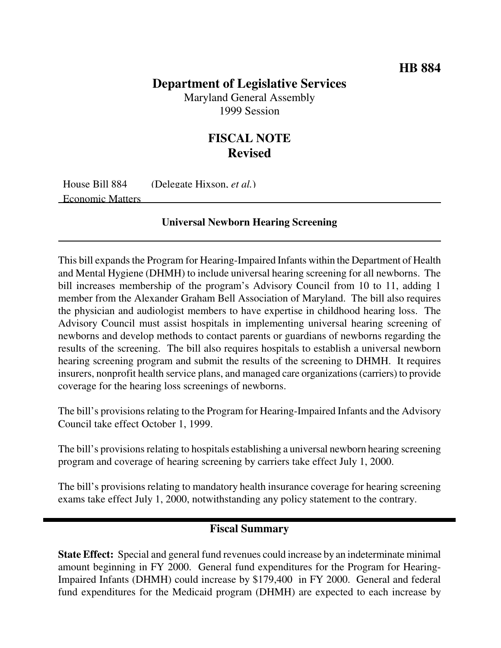## **Department of Legislative Services**

Maryland General Assembly 1999 Session

# **FISCAL NOTE Revised**

House Bill 884 (Delegate Hixson, *et al.*) Economic Matters

## **Universal Newborn Hearing Screening**

This bill expands the Program for Hearing-Impaired Infants within the Department of Health and Mental Hygiene (DHMH) to include universal hearing screening for all newborns. The bill increases membership of the program's Advisory Council from 10 to 11, adding 1 member from the Alexander Graham Bell Association of Maryland. The bill also requires the physician and audiologist members to have expertise in childhood hearing loss. The Advisory Council must assist hospitals in implementing universal hearing screening of newborns and develop methods to contact parents or guardians of newborns regarding the results of the screening. The bill also requires hospitals to establish a universal newborn hearing screening program and submit the results of the screening to DHMH. It requires insurers, nonprofit health service plans, and managed care organizations(carriers) to provide coverage for the hearing loss screenings of newborns.

The bill's provisions relating to the Program for Hearing-Impaired Infants and the Advisory Council take effect October 1, 1999.

The bill's provisions relating to hospitals establishing a universal newborn hearing screening program and coverage of hearing screening by carriers take effect July 1, 2000.

The bill's provisions relating to mandatory health insurance coverage for hearing screening exams take effect July 1, 2000, notwithstanding any policy statement to the contrary.

## **Fiscal Summary**

**State Effect:** Special and general fund revenues could increase by an indeterminate minimal amount beginning in FY 2000. General fund expenditures for the Program for Hearing-Impaired Infants (DHMH) could increase by \$179,400 in FY 2000. General and federal fund expenditures for the Medicaid program (DHMH) are expected to each increase by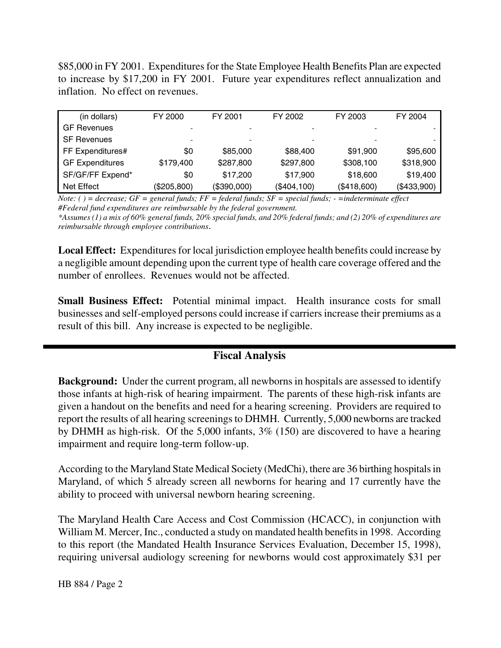\$85,000 in FY 2001. Expenditures for the State Employee Health Benefits Plan are expected to increase by \$17,200 in FY 2001. Future year expenditures reflect annualization and inflation. No effect on revenues.

| (in dollars)           | FY 2000     | FY 2001     | FY 2002     | FY 2003     | FY 2004     |
|------------------------|-------------|-------------|-------------|-------------|-------------|
| <b>GF Revenues</b>     |             | -           |             |             |             |
| <b>SF Revenues</b>     |             | -           |             |             |             |
| FF Expenditures#       | \$0         | \$85,000    | \$88,400    | \$91,900    | \$95,600    |
| <b>GF Expenditures</b> | \$179,400   | \$287,800   | \$297,800   | \$308,100   | \$318,900   |
| SF/GF/FF Expend*       | \$0         | \$17,200    | \$17,900    | \$18,600    | \$19,400    |
| <b>Net Effect</b>      | (\$205,800) | (\$390,000) | (\$404,100) | (\$418,600) | (\$433,900) |

Note: () = decrease;  $GF = general$  funds;  $FF = federal$  funds;  $SF = special$  funds; - =indeterminate effect *#Federal fund expenditures are reimbursable by the federal government.*

\*Assumes (1) a mix of 60% general funds, 20% special funds, and 20% federal funds; and (2) 20% of expenditures are *reimbursable through employee contributions*.

**Local Effect:** Expenditures for local jurisdiction employee health benefits could increase by a negligible amount depending upon the current type of health care coverage offered and the number of enrollees. Revenues would not be affected.

**Small Business Effect:** Potential minimal impact. Health insurance costs for small businesses and self-employed persons could increase if carriers increase their premiums as a result of this bill. Any increase is expected to be negligible.

## **Fiscal Analysis**

**Background:** Under the current program, all newborns in hospitals are assessed to identify those infants at high-risk of hearing impairment. The parents of these high-risk infants are given a handout on the benefits and need for a hearing screening. Providers are required to report the results of all hearing screeningsto DHMH. Currently, 5,000 newborns are tracked by DHMH as high-risk. Of the 5,000 infants, 3% (150) are discovered to have a hearing impairment and require long-term follow-up.

According to the Maryland State Medical Society (MedChi), there are 36 birthing hospitals in Maryland, of which 5 already screen all newborns for hearing and 17 currently have the ability to proceed with universal newborn hearing screening.

The Maryland Health Care Access and Cost Commission (HCACC), in conjunction with William M. Mercer, Inc., conducted a study on mandated health benefits in 1998. According to this report (the Mandated Health Insurance Services Evaluation, December 15, 1998), requiring universal audiology screening for newborns would cost approximately \$31 per

HB 884 / Page 2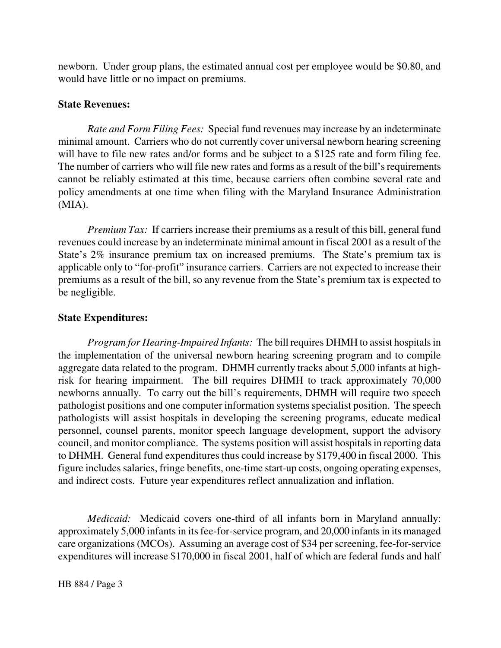newborn. Under group plans, the estimated annual cost per employee would be \$0.80, and would have little or no impact on premiums.

#### **State Revenues:**

*Rate and Form Filing Fees:* Special fund revenues may increase by an indeterminate minimal amount. Carriers who do not currently cover universal newborn hearing screening will have to file new rates and/or forms and be subject to a \$125 rate and form filing fee. The number of carriers who will file new rates and forms as a result of the bill's requirements cannot be reliably estimated at this time, because carriers often combine several rate and policy amendments at one time when filing with the Maryland Insurance Administration (MIA).

*Premium Tax:* If carriers increase their premiums as a result of this bill, general fund revenues could increase by an indeterminate minimal amount in fiscal 2001 as a result of the State's 2% insurance premium tax on increased premiums. The State's premium tax is applicable only to "for-profit" insurance carriers. Carriers are not expected to increase their premiums as a result of the bill, so any revenue from the State's premium tax is expected to be negligible.

#### **State Expenditures:**

*Program for Hearing-Impaired Infants:* The bill requires DHMH to assist hospitalsin the implementation of the universal newborn hearing screening program and to compile aggregate data related to the program. DHMH currently tracks about 5,000 infants at highrisk for hearing impairment. The bill requires DHMH to track approximately 70,000 newborns annually. To carry out the bill's requirements, DHMH will require two speech pathologist positions and one computer information systems specialist position. The speech pathologists will assist hospitals in developing the screening programs, educate medical personnel, counsel parents, monitor speech language development, support the advisory council, and monitor compliance. The systems position will assist hospitals in reporting data to DHMH. General fund expenditures thus could increase by \$179,400 in fiscal 2000. This figure includes salaries, fringe benefits, one-time start-up costs, ongoing operating expenses, and indirect costs. Future year expenditures reflect annualization and inflation.

*Medicaid:* Medicaid covers one-third of all infants born in Maryland annually: approximately 5,000 infants in its fee-for-service program, and 20,000 infants in its managed care organizations (MCOs). Assuming an average cost of \$34 per screening, fee-for-service expenditures will increase \$170,000 in fiscal 2001, half of which are federal funds and half